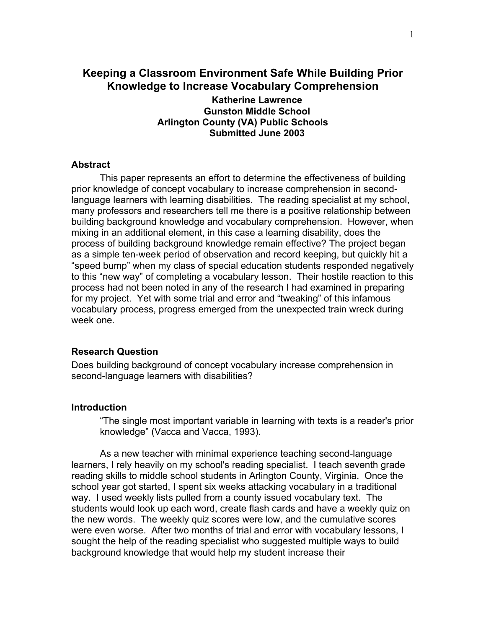# **Keeping a Classroom Environment Safe While Building Prior Knowledge to Increase Vocabulary Comprehension**

**Katherine Lawrence Gunston Middle School Arlington County (VA) Public Schools Submitted June 2003** 

#### **Abstract**

This paper represents an effort to determine the effectiveness of building prior knowledge of concept vocabulary to increase comprehension in secondlanguage learners with learning disabilities. The reading specialist at my school, many professors and researchers tell me there is a positive relationship between building background knowledge and vocabulary comprehension. However, when mixing in an additional element, in this case a learning disability, does the process of building background knowledge remain effective? The project began as a simple ten-week period of observation and record keeping, but quickly hit a "speed bump" when my class of special education students responded negatively to this "new way" of completing a vocabulary lesson. Their hostile reaction to this process had not been noted in any of the research I had examined in preparing for my project. Yet with some trial and error and "tweaking" of this infamous vocabulary process, progress emerged from the unexpected train wreck during week one.

#### **Research Question**

Does building background of concept vocabulary increase comprehension in second-language learners with disabilities?

# **Introduction**

"The single most important variable in learning with texts is a reader's prior knowledge" (Vacca and Vacca, 1993).

As a new teacher with minimal experience teaching second-language learners, I rely heavily on my school's reading specialist. I teach seventh grade reading skills to middle school students in Arlington County, Virginia. Once the school year got started, I spent six weeks attacking vocabulary in a traditional way. I used weekly lists pulled from a county issued vocabulary text. The students would look up each word, create flash cards and have a weekly quiz on the new words. The weekly quiz scores were low, and the cumulative scores were even worse. After two months of trial and error with vocabulary lessons, I sought the help of the reading specialist who suggested multiple ways to build background knowledge that would help my student increase their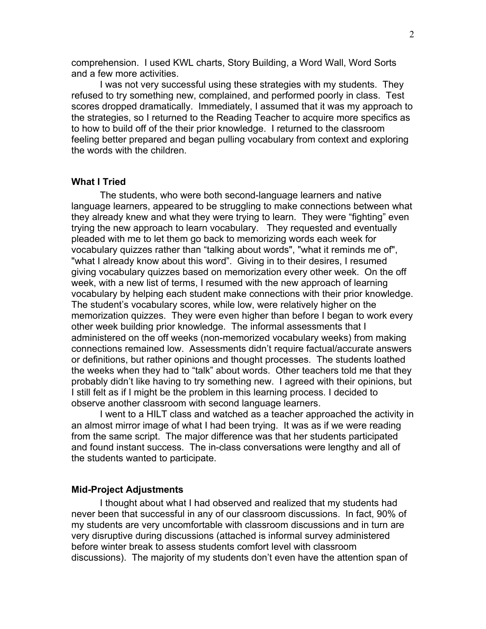comprehension. I used KWL charts, Story Building, a Word Wall, Word Sorts and a few more activities.

I was not very successful using these strategies with my students. They refused to try something new, complained, and performed poorly in class. Test scores dropped dramatically. Immediately, I assumed that it was my approach to the strategies, so I returned to the Reading Teacher to acquire more specifics as to how to build off of the their prior knowledge. I returned to the classroom feeling better prepared and began pulling vocabulary from context and exploring the words with the children.

#### **What I Tried**

The students, who were both second-language learners and native language learners, appeared to be struggling to make connections between what they already knew and what they were trying to learn. They were "fighting" even trying the new approach to learn vocabulary. They requested and eventually pleaded with me to let them go back to memorizing words each week for vocabulary quizzes rather than "talking about words", "what it reminds me of", "what I already know about this word". Giving in to their desires, I resumed giving vocabulary quizzes based on memorization every other week. On the off week, with a new list of terms, I resumed with the new approach of learning vocabulary by helping each student make connections with their prior knowledge. The student's vocabulary scores, while low, were relatively higher on the memorization quizzes. They were even higher than before I began to work every other week building prior knowledge. The informal assessments that I administered on the off weeks (non-memorized vocabulary weeks) from making connections remained low. Assessments didn't require factual/accurate answers or definitions, but rather opinions and thought processes. The students loathed the weeks when they had to "talk" about words. Other teachers told me that they probably didn't like having to try something new. I agreed with their opinions, but I still felt as if I might be the problem in this learning process. I decided to observe another classroom with second language learners.

 I went to a HILT class and watched as a teacher approached the activity in an almost mirror image of what I had been trying. It was as if we were reading from the same script. The major difference was that her students participated and found instant success. The in-class conversations were lengthy and all of the students wanted to participate.

## **Mid-Project Adjustments**

 I thought about what I had observed and realized that my students had never been that successful in any of our classroom discussions. In fact, 90% of my students are very uncomfortable with classroom discussions and in turn are very disruptive during discussions (attached is informal survey administered before winter break to assess students comfort level with classroom discussions). The majority of my students don't even have the attention span of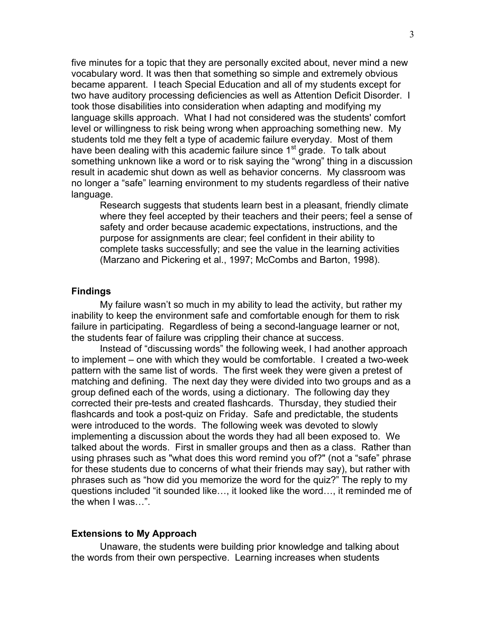five minutes for a topic that they are personally excited about, never mind a new vocabulary word. It was then that something so simple and extremely obvious became apparent. I teach Special Education and all of my students except for two have auditory processing deficiencies as well as Attention Deficit Disorder. I took those disabilities into consideration when adapting and modifying my language skills approach. What I had not considered was the students' comfort level or willingness to risk being wrong when approaching something new. My students told me they felt a type of academic failure everyday. Most of them have been dealing with this academic failure since  $1<sup>st</sup>$  grade. To talk about something unknown like a word or to risk saying the "wrong" thing in a discussion result in academic shut down as well as behavior concerns. My classroom was no longer a "safe" learning environment to my students regardless of their native language.

Research suggests that students learn best in a pleasant, friendly climate where they feel accepted by their teachers and their peers; feel a sense of safety and order because academic expectations, instructions, and the purpose for assignments are clear; feel confident in their ability to complete tasks successfully; and see the value in the learning activities (Marzano and Pickering et al., 1997; McCombs and Barton, 1998).

## **Findings**

My failure wasn't so much in my ability to lead the activity, but rather my inability to keep the environment safe and comfortable enough for them to risk failure in participating. Regardless of being a second-language learner or not, the students fear of failure was crippling their chance at success.

 Instead of "discussing words" the following week, I had another approach to implement – one with which they would be comfortable. I created a two-week pattern with the same list of words. The first week they were given a pretest of matching and defining. The next day they were divided into two groups and as a group defined each of the words, using a dictionary. The following day they corrected their pre-tests and created flashcards. Thursday, they studied their flashcards and took a post-quiz on Friday. Safe and predictable, the students were introduced to the words. The following week was devoted to slowly implementing a discussion about the words they had all been exposed to. We talked about the words. First in smaller groups and then as a class. Rather than using phrases such as "what does this word remind you of?" (not a "safe" phrase for these students due to concerns of what their friends may say), but rather with phrases such as "how did you memorize the word for the quiz?" The reply to my questions included "it sounded like…, it looked like the word…, it reminded me of the when I was…".

#### **Extensions to My Approach**

Unaware, the students were building prior knowledge and talking about the words from their own perspective. Learning increases when students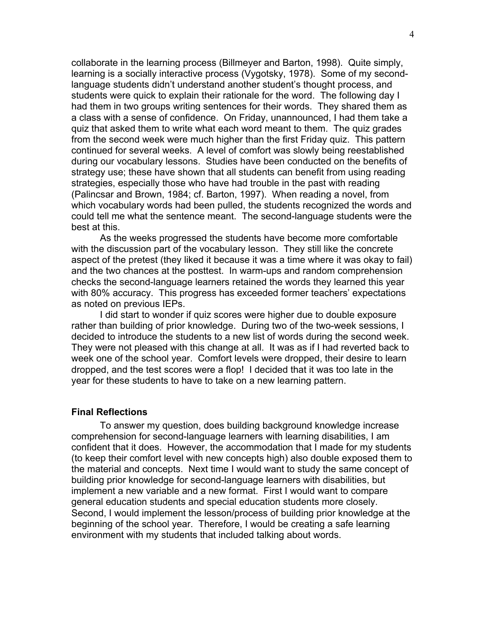collaborate in the learning process (Billmeyer and Barton, 1998). Quite simply, learning is a socially interactive process (Vygotsky, 1978). Some of my secondlanguage students didn't understand another student's thought process, and students were quick to explain their rationale for the word. The following day I had them in two groups writing sentences for their words. They shared them as a class with a sense of confidence. On Friday, unannounced, I had them take a quiz that asked them to write what each word meant to them. The quiz grades from the second week were much higher than the first Friday quiz. This pattern continued for several weeks. A level of comfort was slowly being reestablished during our vocabulary lessons. Studies have been conducted on the benefits of strategy use; these have shown that all students can benefit from using reading strategies, especially those who have had trouble in the past with reading (Palincsar and Brown, 1984; cf. Barton, 1997). When reading a novel, from which vocabulary words had been pulled, the students recognized the words and could tell me what the sentence meant. The second-language students were the best at this.

 As the weeks progressed the students have become more comfortable with the discussion part of the vocabulary lesson. They still like the concrete aspect of the pretest (they liked it because it was a time where it was okay to fail) and the two chances at the posttest. In warm-ups and random comprehension checks the second-language learners retained the words they learned this year with 80% accuracy. This progress has exceeded former teachers' expectations as noted on previous IEPs.

 I did start to wonder if quiz scores were higher due to double exposure rather than building of prior knowledge. During two of the two-week sessions, I decided to introduce the students to a new list of words during the second week. They were not pleased with this change at all. It was as if I had reverted back to week one of the school year. Comfort levels were dropped, their desire to learn dropped, and the test scores were a flop! I decided that it was too late in the year for these students to have to take on a new learning pattern.

#### **Final Reflections**

 To answer my question, does building background knowledge increase comprehension for second-language learners with learning disabilities, I am confident that it does. However, the accommodation that I made for my students (to keep their comfort level with new concepts high) also double exposed them to the material and concepts. Next time I would want to study the same concept of building prior knowledge for second-language learners with disabilities, but implement a new variable and a new format. First I would want to compare general education students and special education students more closely. Second, I would implement the lesson/process of building prior knowledge at the beginning of the school year. Therefore, I would be creating a safe learning environment with my students that included talking about words.